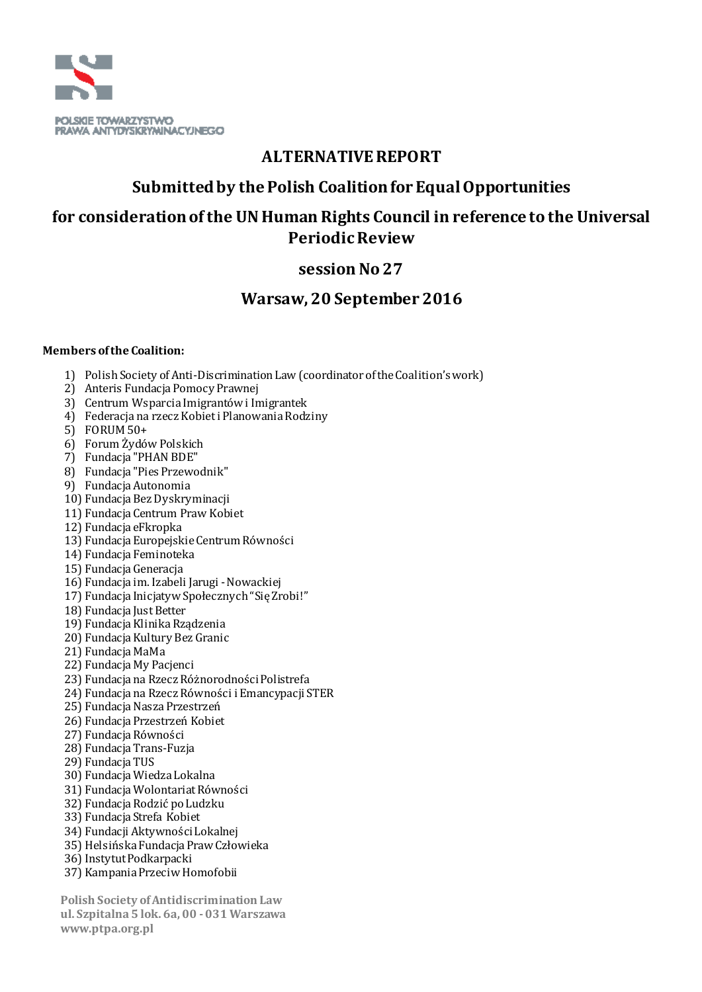

# **ALTERNATIVE REPORT**

# **Submitted by the Polish Coalition for Equal Opportunities**

# **for consideration of the UN Human Rights Council in reference to the Universal Periodic Review**

# **session No 27**

# **Warsaw, 20 September 2016**

#### **Members of the Coalition:**

- 1) Polish Society of Anti-Discrimination Law (coordinator of the Coalition's work)
- 2) Anteris Fundacja Pomocy Prawnej
- 3) Centrum Wsparcia Imigrantów i Imigrantek
- 4) Federacja na rzecz Kobiet i Planowania Rodziny
- 5) FORUM 50+
- 6) Forum Żydów Polskich
- 7) Fundacja "PHAN BDE"
- 8) Fundacja "Pies Przewodnik"
- 9) Fundacja Autonomia
- 10) Fundacja Bez Dyskryminacji
- 11) Fundacja Centrum Praw Kobiet
- 12) Fundacja eFkropka
- 13) Fundacja Europejskie Centrum Równości
- 14) Fundacja Feminoteka
- 15) Fundacja Generacja
- 16) Fundacja im. Izabeli Jarugi -Nowackiej
- 17) Fundacja Inicjatyw Społecznych "Się Zrobi!"
- 18) Fundacja Just Better
- 19) Fundacja Klinika Rządzenia
- 20) Fundacja Kultury Bez Granic
- 21) Fundacia MaMa
- 22) Fundacja My Pacjenci
- 23) Fundacja na Rzecz Różnorodności Polistrefa
- 24) Fundacja na Rzecz Równości i Emancypacji STER
- 25) Fundacja Nasza Przestrzeń
- 26) Fundacja Przestrzeń Kobiet
- 27) Fundacja Równości
- 28) Fundacja Trans-Fuzja
- 29) Fundacja TUS
- 30) Fundacja Wiedza Lokalna
- 31) Fundacja Wolontariat Równości
- 32) Fundacja Rodzić po Ludzku
- 33) Fundacja Strefa Kobiet
- 34) Fundacji Aktywności Lokalnej
- 35) Helsińska Fundacja Praw Człowieka
- 36) Instytut Podkarpacki
- 37) Kampania Przeciw Homofobii

 **Polish Society of Antidiscrimination Law ul. Szpitalna 5 lok. 6a, 00 -031 Warszawa www.ptpa.org.pl**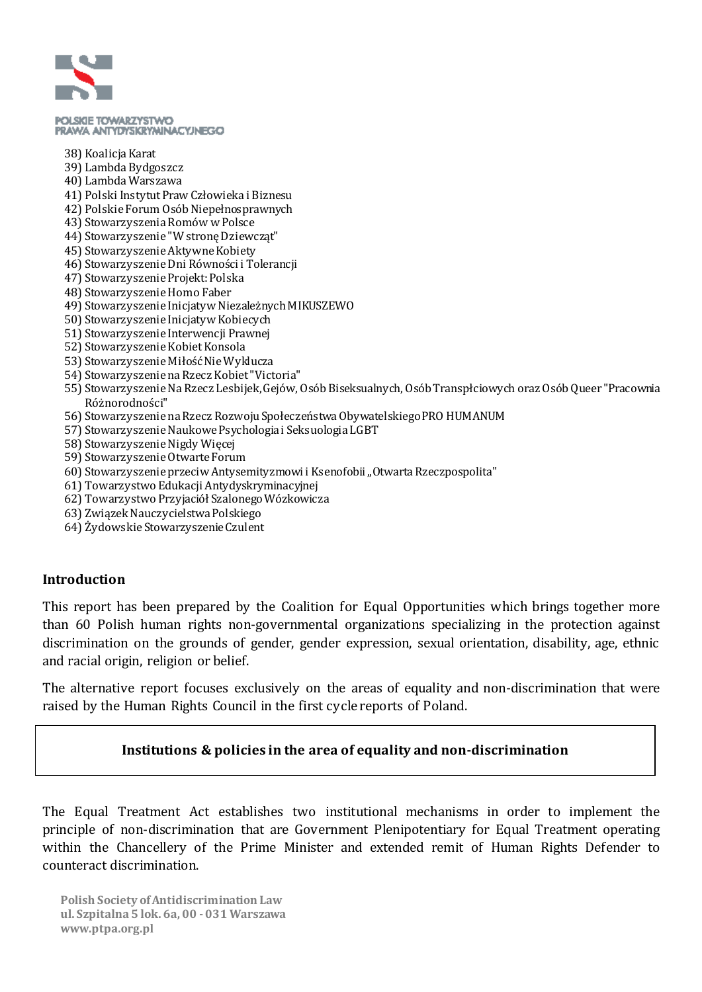

#### POLSICE TOWARZYSTWO PRAWA ANTYDYSKRYMINACYJNEGO

- 38) Koalicja Karat
- 39) Lambda Bydgoszcz
- 40) Lambda Warszawa
- 41) Polski Instytut Praw Człowieka i Biznesu
- 42) Polskie Forum Osób Niepełnosprawnych
- 43) Stowarzyszenia Romów w Polsce
- 44) Stowarzyszenie "W stronę Dziewcząt"
- 45) Stowarzyszenie Aktywne Kobiety
- 46) Stowarzyszenie Dni Równości i Tolerancji
- 47) Stowarzyszenie Projekt: Polska
- 48) Stowarzyszenie Homo Faber
- 49) Stowarzyszenie Inicjatyw Niezależnych MIKUSZEWO
- 50) Stowarzyszenie Inicjatyw Kobiecych
- 51) Stowarzyszenie Interwencji Prawnej
- 52) Stowarzyszenie Kobiet Konsola
- 53) Stowarzyszenie Miłość Nie Wyklucza
- 54) Stowarzyszenie na Rzecz Kobiet "Victoria"
- 55) Stowarzyszenie Na Rzecz Lesbijek, Gejów, Osób Biseksualnych, Osób Transpłciowych oraz Osób Queer "Pracownia Różnorodności"
- 56) Stowarzyszenie na Rzecz Rozwoju Społeczeństwa Obywatelskiego PRO HUMANUM
- 57) Stowarzyszenie Naukowe Psychologia i Seksuologia LGBT
- 58) Stowarzyszenie Nigdy Więcej
- 59) Stowarzyszenie Otwarte Forum
- 60) Stowarzyszenie przeciw Antysemityzmowi i Ksenofobii "Otwarta Rzeczpospolita"
- 61) Towarzystwo Edukacji Antydyskryminacyjnej
- 62) Towarzystwo Przyjaciół Szalonego Wózkowicza
- 63) Związek Nauczycielstwa Polskiego
- 64) Żydowskie Stowarzyszenie Czulent

#### **Introduction**

This report has been prepared by the Coalition for Equal Opportunities which brings together more than 60 Polish human rights non-governmental organizations specializing in the protection against discrimination on the grounds of gender, gender expression, sexual orientation, disability, age, ethnic and racial origin, religion or belief.

The alternative report focuses exclusively on the areas of equality and non-discrimination that were raised by the Human Rights Council in the first cycle reports of Poland.

#### **Institutions & policies in the area of equality and non-discrimination**

The Equal Treatment Act establishes two institutional mechanisms in order to implement the principle of non-discrimination that are Government Plenipotentiary for Equal Treatment operating within the Chancellery of the Prime Minister and extended remit of Human Rights Defender to counteract discrimination.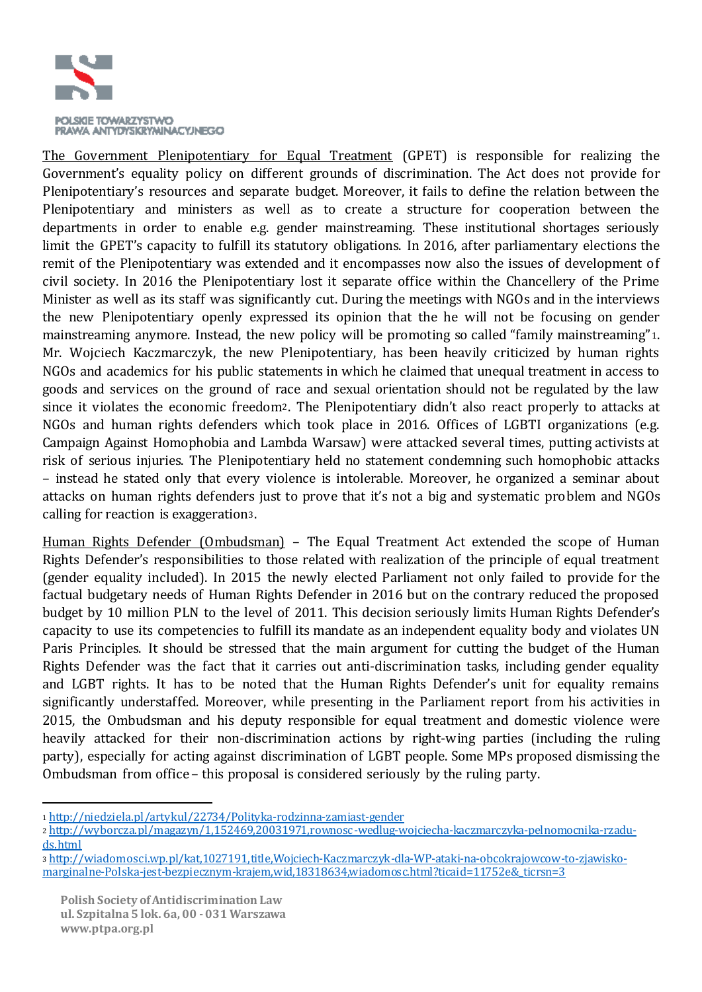

The Government Plenipotentiary for Equal Treatment (GPET) is responsible for realizing the Government's equality policy on different grounds of discrimination. The Act does not provide for Plenipotentiary's resources and separate budget. Moreover, it fails to define the relation between the Plenipotentiary and ministers as well as to create a structure for cooperation between the departments in order to enable e.g. gender mainstreaming. These institutional shortages seriously limit the GPET's capacity to fulfill its statutory obligations. In 2016, after parliamentary elections the remit of the Plenipotentiary was extended and it encompasses now also the issues of development of civil society. In 2016 the Plenipotentiary lost it separate office within the Chancellery of the Prime Minister as well as its staff was significantly cut. During the meetings with NGOs and in the interviews the new Plenipotentiary openly expressed its opinion that the he will not be focusing on gender mainstreaming anymore. Instead, the new policy will be promoting so called "family mainstreaming"1. Mr. Wojciech Kaczmarczyk, the new Plenipotentiary, has been heavily criticized by human rights NGOs and academics for his public statements in which he claimed that unequal treatment in access to goods and services on the ground of race and sexual orientation should not be regulated by the law since it violates the economic freedom2. The Plenipotentiary didn't also react properly to attacks at NGOs and human rights defenders which took place in 2016. Offices of LGBTI organizations (e.g. Campaign Against Homophobia and Lambda Warsaw) were attacked several times, putting activists at risk of serious injuries. The Plenipotentiary held no statement condemning such homophobic attacks – instead he stated only that every violence is intolerable. Moreover, he organized a seminar about attacks on human rights defenders just to prove that it's not a big and systematic problem and NGOs calling for reaction is exaggeration3.

Human Rights Defender (Ombudsman) - The Equal Treatment Act extended the scope of Human Rights Defender's responsibilities to those related with realization of the principle of equal treatment (gender equality included). In 2015 the newly elected Parliament not only failed to provide for the factual budgetary needs of Human Rights Defender in 2016 but on the contrary reduced the proposed budget by 10 million PLN to the level of 2011. This decision seriously limits Human Rights Defender's capacity to use its competencies to fulfill its mandate as an independent equality body and violates UN Paris Principles. It should be stressed that the main argument for cutting the budget of the Human Rights Defender was the fact that it carries out anti-discrimination tasks, including gender equality and LGBT rights. It has to be noted that the Human Rights Defender's unit for equality remains significantly understaffed. Moreover, while presenting in the Parliament report from his activities in 2015, the Ombudsman and his deputy responsible for equal treatment and domestic violence were heavily attacked for their non-discrimination actions by right-wing parties (including the ruling party), especially for acting against discrimination of LGBT people. Some MPs proposed dismissing the Ombudsman from office – this proposal is considered seriously by the ruling party.

 $\overline{a}$ <sup>1</sup> http://niedziela.pl/artykul/22734/Polityka-rodzinna-zamiast-gender

<sup>2</sup> http://wyborcza.pl/magazyn/1,152469,20031971,rownosc-wedlug-wojciecha-kaczmarczyka-pelnomocnika-rzaduds.html

<sup>3</sup> http://wiadomosci.wp.pl/kat,1027191,title,Wojciech-Kaczmarczyk-dla-WP-ataki-na-obcokrajowcow-to-zjawiskomarginalne-Polska-jest-bezpiecznym-krajem,wid,18318634,wiadomosc.html?ticaid=11752e&\_ticrsn=3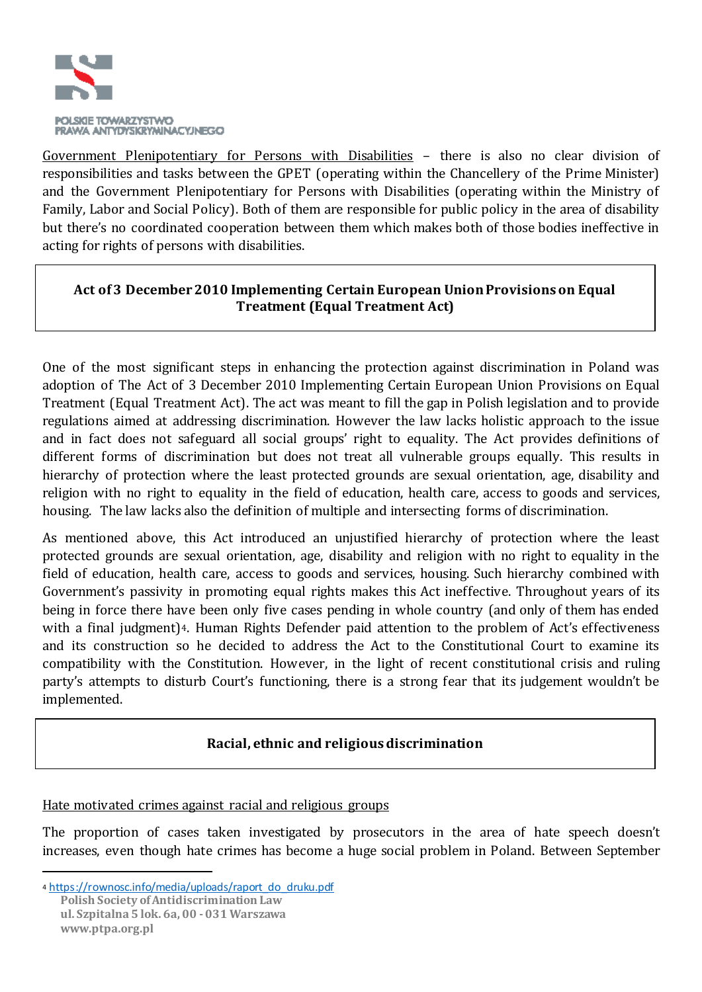

Government Plenipotentiary for Persons with Disabilities – there is also no clear division of responsibilities and tasks between the GPET (operating within the Chancellery of the Prime Minister) and the Government Plenipotentiary for Persons with Disabilities (operating within the Ministry of Family, Labor and Social Policy). Both of them are responsible for public policy in the area of disability but there's no coordinated cooperation between them which makes both of those bodies ineffective in acting for rights of persons with disabilities.

## **Act of 3 December 2010 Implementing Certain European Union Provisions on Equal Treatment (Equal Treatment Act)**

One of the most significant steps in enhancing the protection against discrimination in Poland was adoption of The Act of 3 December 2010 Implementing Certain European Union Provisions on Equal Treatment (Equal Treatment Act). The act was meant to fill the gap in Polish legislation and to provide regulations aimed at addressing discrimination. However the law lacks holistic approach to the issue and in fact does not safeguard all social groups' right to equality. The Act provides definitions of different forms of discrimination but does not treat all vulnerable groups equally. This results in hierarchy of protection where the least protected grounds are sexual orientation, age, disability and religion with no right to equality in the field of education, health care, access to goods and services, housing. The law lacks also the definition of multiple and intersecting forms of discrimination.

As mentioned above, this Act introduced an unjustified hierarchy of protection where the least protected grounds are sexual orientation, age, disability and religion with no right to equality in the field of education, health care, access to goods and services, housing. Such hierarchy combined with Government's passivity in promoting equal rights makes this Act ineffective. Throughout years of its being in force there have been only five cases pending in whole country (and only of them has ended with a final judgment)<sup>4</sup>. Human Rights Defender paid attention to the problem of Act's effectiveness and its construction so he decided to address the Act to the Constitutional Court to examine its compatibility with the Constitution. However, in the light of recent constitutional crisis and ruling party's attempts to disturb Court's functioning, there is a strong fear that its judgement wouldn't be implemented.

### **Racial, ethnic and religious discrimination**

#### Hate motivated crimes against racial and religious groups

The proportion of cases taken investigated by prosecutors in the area of hate speech doesn't increases, even though hate crimes has become a huge social problem in Poland. Between September

 $\overline{a}$ 

**Polish Society of Antidiscrimination Law ul. Szpitalna 5 lok. 6a, 00 -031 Warszawa www.ptpa.org.pl** 4 https://rownosc.info/media/uploads/raport\_do\_druku.pdf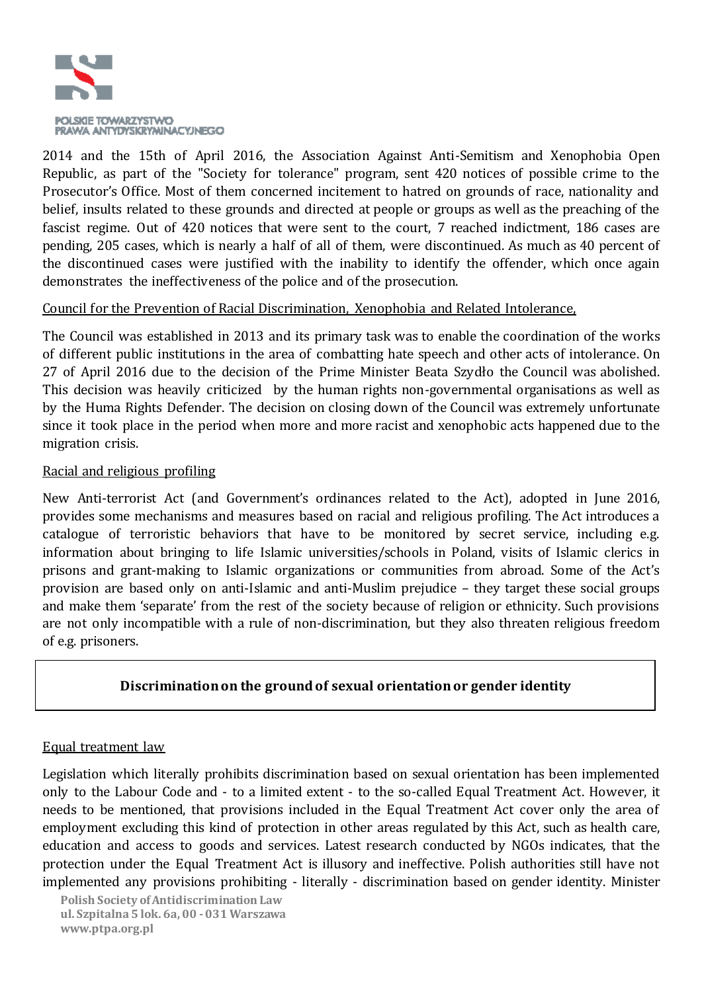

2014 and the 15th of April 2016, the Association Against Anti-Semitism and Xenophobia Open Republic, as part of the "Society for tolerance" program, sent 420 notices of possible crime to the Prosecutor's Office. Most of them concerned incitement to hatred on grounds of race, nationality and belief, insults related to these grounds and directed at people or groups as well as the preaching of the fascist regime. Out of 420 notices that were sent to the court, 7 reached indictment, 186 cases are pending, 205 cases, which is nearly a half of all of them, were discontinued. As much as 40 percent of the discontinued cases were justified with the inability to identify the offender, which once again demonstrates the ineffectiveness of the police and of the prosecution.

### Council for the Prevention of Racial Discrimination, Xenophobia and Related Intolerance,

The Council was established in 2013 and its primary task was to enable the coordination of the works of different public institutions in the area of combatting hate speech and other acts of intolerance. On 27 of April 2016 due to the decision of the Prime Minister Beata Szydło the Council was abolished. This decision was heavily criticized by the human rights non-governmental organisations as well as by the Huma Rights Defender. The decision on closing down of the Council was extremely unfortunate since it took place in the period when more and more racist and xenophobic acts happened due to the migration crisis.

#### Racial and religious profiling

New Anti-terrorist Act (and Government's ordinances related to the Act), adopted in June 2016, provides some mechanisms and measures based on racial and religious profiling. The Act introduces a catalogue of terroristic behaviors that have to be monitored by secret service, including e.g. information about bringing to life Islamic universities/schools in Poland, visits of Islamic clerics in prisons and grant-making to Islamic organizations or communities from abroad. Some of the Act's provision are based only on anti-Islamic and anti-Muslim prejudice – they target these social groups and make them 'separate' from the rest of the society because of religion or ethnicity. Such provisions are not only incompatible with a rule of non-discrimination, but they also threaten religious freedom of e.g. prisoners.

### **Discrimination on the ground of sexual orientation or gender identity**

#### Equal treatment law

Legislation which literally prohibits discrimination based on sexual orientation has been implemented only to the Labour Code and - to a limited extent - to the so-called Equal Treatment Act. However, it needs to be mentioned, that provisions included in the Equal Treatment Act cover only the area of employment excluding this kind of protection in other areas regulated by this Act, such as health care, education and access to goods and services. Latest research conducted by NGOs indicates, that the protection under the Equal Treatment Act is illusory and ineffective. Polish authorities still have not implemented any provisions prohibiting - literally - discrimination based on gender identity. Minister

 **Polish Society of Antidiscrimination Law ul. Szpitalna 5 lok. 6a, 00 -031 Warszawa www.ptpa.org.pl**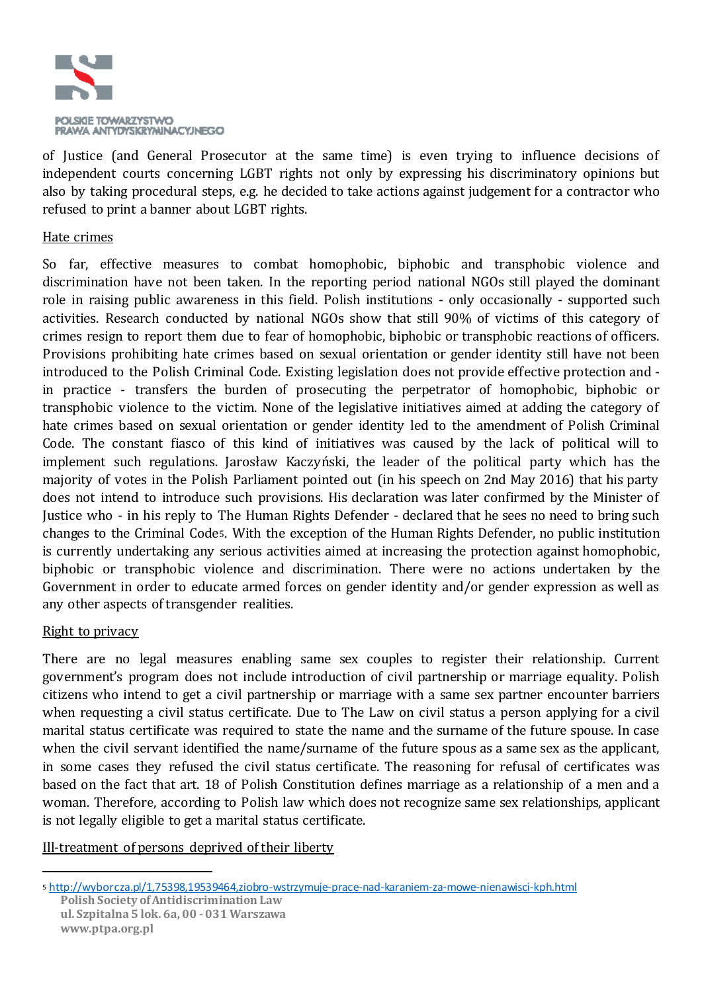

of Justice (and General Prosecutor at the same time) is even trying to influence decisions of independent courts concerning LGBT rights not only by expressing his discriminatory opinions but also by taking procedural steps, e.g. he decided to take actions against judgement for a contractor who refused to print a banner about LGBT rights.

#### Hate crimes

So far, effective measures to combat homophobic, biphobic and transphobic violence and discrimination have not been taken. In the reporting period national NGOs still played the dominant role in raising public awareness in this field. Polish institutions - only occasionally - supported such activities. Research conducted by national NGOs show that still 90% of victims of this category of crimes resign to report them due to fear of homophobic, biphobic or transphobic reactions of officers. Provisions prohibiting hate crimes based on sexual orientation or gender identity still have not been introduced to the Polish Criminal Code. Existing legislation does not provide effective protection and in practice - transfers the burden of prosecuting the perpetrator of homophobic, biphobic or transphobic violence to the victim. None of the legislative initiatives aimed at adding the category of hate crimes based on sexual orientation or gender identity led to the amendment of Polish Criminal Code. The constant fiasco of this kind of initiatives was caused by the lack of political will to implement such regulations. Jarosław Kaczyński, the leader of the political party which has the majority of votes in the Polish Parliament pointed out (in his speech on 2nd May 2016) that his party does not intend to introduce such provisions. His declaration was later confirmed by the Minister of Justice who - in his reply to The Human Rights Defender - declared that he sees no need to bring such changes to the Criminal Code5. With the exception of the Human Rights Defender, no public institution is currently undertaking any serious activities aimed at increasing the protection against homophobic, biphobic or transphobic violence and discrimination. There were no actions undertaken by the Government in order to educate armed forces on gender identity and/or gender expression as well as any other aspects of transgender realities.

#### Right to privacy

 $\overline{a}$ 

There are no legal measures enabling same sex couples to register their relationship. Current government's program does not include introduction of civil partnership or marriage equality. Polish citizens who intend to get a civil partnership or marriage with a same sex partner encounter barriers when requesting a civil status certificate. Due to The Law on civil status a person applying for a civil marital status certificate was required to state the name and the surname of the future spouse. In case when the civil servant identified the name/surname of the future spous as a same sex as the applicant, in some cases they refused the civil status certificate. The reasoning for refusal of certificates was based on the fact that art. 18 of Polish Constitution defines marriage as a relationship of a men and a woman. Therefore, according to Polish law which does not recognize same sex relationships, applicant is not legally eligible to get a marital status certificate.

#### Ill-treatment of persons deprived of their liberty

**Polish Society of Antidiscrimination Law** <sup>5</sup> http://wyborcza.pl/1,75398,19539464,ziobro-wstrzymuje-prace-nad-karaniem-za-mowe-nienawisci-kph.html

**ul. Szpitalna 5 lok. 6a, 00 -031 Warszawa www.ptpa.org.pl**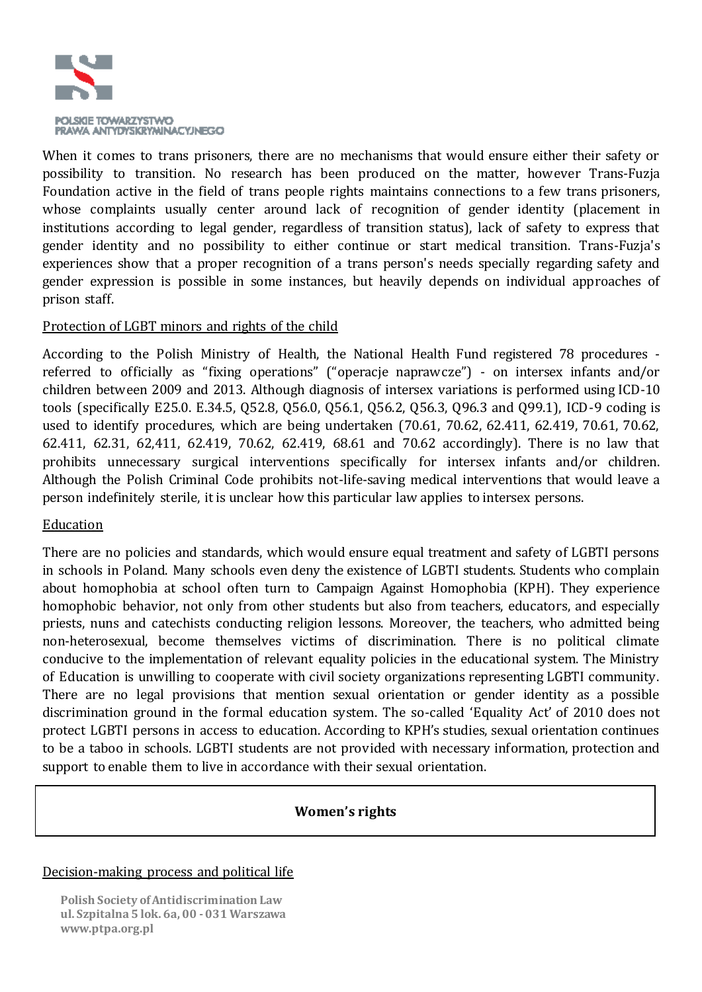

When it comes to trans prisoners, there are no mechanisms that would ensure either their safety or possibility to transition. No research has been produced on the matter, however Trans-Fuzja Foundation active in the field of trans people rights maintains connections to a few trans prisoners, whose complaints usually center around lack of recognition of gender identity (placement in institutions according to legal gender, regardless of transition status), lack of safety to express that gender identity and no possibility to either continue or start medical transition. Trans-Fuzja's experiences show that a proper recognition of a trans person's needs specially regarding safety and gender expression is possible in some instances, but heavily depends on individual approaches of prison staff.

#### Protection of LGBT minors and rights of the child

According to the Polish Ministry of Health, the National Health Fund registered 78 procedures referred to officially as "fixing operations" ("operacje naprawcze") - on intersex infants and/or children between 2009 and 2013. Although diagnosis of intersex variations is performed using ICD-10 tools (specifically E25.0. E.34.5, Q52.8, Q56.0, Q56.1, Q56.2, Q56.3, Q96.3 and Q99.1), ICD-9 coding is used to identify procedures, which are being undertaken (70.61, 70.62, 62.411, 62.419, 70.61, 70.62, 62.411, 62.31, 62,411, 62.419, 70.62, 62.419, 68.61 and 70.62 accordingly). There is no law that prohibits unnecessary surgical interventions specifically for intersex infants and/or children. Although the Polish Criminal Code prohibits not-life-saving medical interventions that would leave a person indefinitely sterile, it is unclear how this particular law applies to intersex persons.

#### Education

There are no policies and standards, which would ensure equal treatment and safety of LGBTI persons in schools in Poland. Many schools even deny the existence of LGBTI students. Students who complain about homophobia at school often turn to Campaign Against Homophobia (KPH). They experience homophobic behavior, not only from other students but also from teachers, educators, and especially priests, nuns and catechists conducting religion lessons. Moreover, the teachers, who admitted being non-heterosexual, become themselves victims of discrimination. There is no political climate conducive to the implementation of relevant equality policies in the educational system. The Ministry of Education is unwilling to cooperate with civil society organizations representing LGBTI community. There are no legal provisions that mention sexual orientation or gender identity as a possible discrimination ground in the formal education system. The so-called 'Equality Act' of 2010 does not protect LGBTI persons in access to education. According to KPH's studies, sexual orientation continues to be a taboo in schools. LGBTI students are not provided with necessary information, protection and support to enable them to live in accordance with their sexual orientation.

#### **Women's rights**

#### Decision-making process and political life

 **Polish Society of Antidiscrimination Law ul. Szpitalna 5 lok. 6a, 00 -031 Warszawa www.ptpa.org.pl**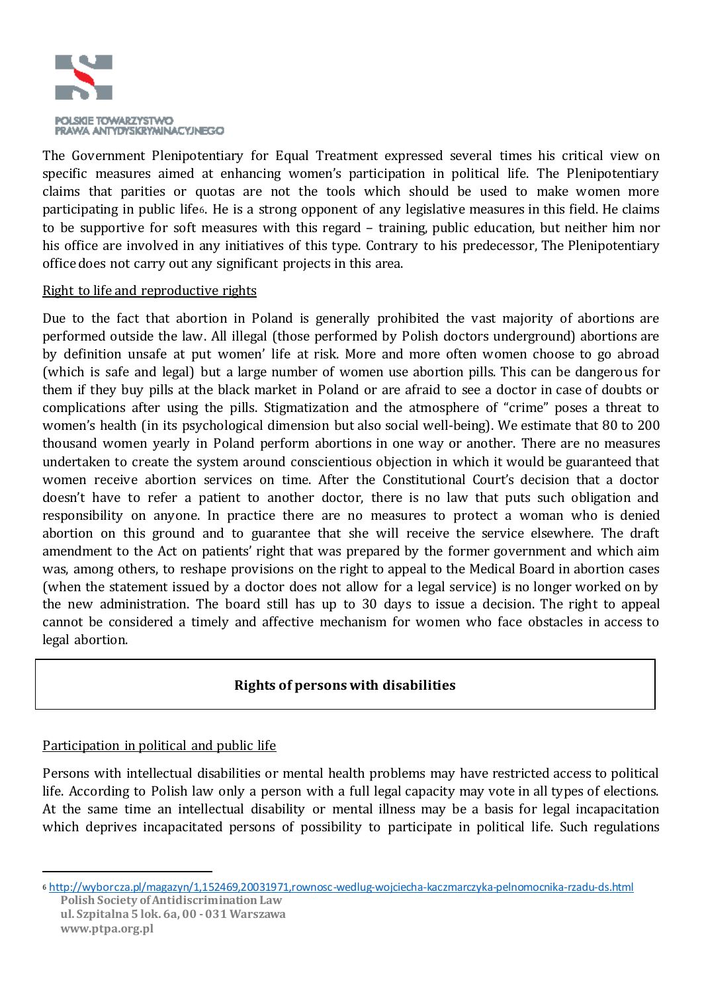

The Government Plenipotentiary for Equal Treatment expressed several times his critical view on specific measures aimed at enhancing women's participation in political life. The Plenipotentiary claims that parities or quotas are not the tools which should be used to make women more participating in public life6. He is a strong opponent of any legislative measures in this field. He claims to be supportive for soft measures with this regard – training, public education, but neither him nor his office are involved in any initiatives of this type. Contrary to his predecessor, The Plenipotentiary office does not carry out any significant projects in this area.

#### Right to life and reproductive rights

Due to the fact that abortion in Poland is generally prohibited the vast majority of abortions are performed outside the law. All illegal (those performed by Polish doctors underground) abortions are by definition unsafe at put women' life at risk. More and more often women choose to go abroad (which is safe and legal) but a large number of women use abortion pills. This can be dangerous for them if they buy pills at the black market in Poland or are afraid to see a doctor in case of doubts or complications after using the pills. Stigmatization and the atmosphere of "crime" poses a threat to women's health (in its psychological dimension but also social well-being). We estimate that 80 to 200 thousand women yearly in Poland perform abortions in one way or another. There are no measures undertaken to create the system around conscientious objection in which it would be guaranteed that women receive abortion services on time. After the Constitutional Court's decision that a doctor doesn't have to refer a patient to another doctor, there is no law that puts such obligation and responsibility on anyone. In practice there are no measures to protect a woman who is denied abortion on this ground and to guarantee that she will receive the service elsewhere. The draft amendment to the Act on patients' right that was prepared by the former government and which aim was, among others, to reshape provisions on the right to appeal to the Medical Board in abortion cases (when the statement issued by a doctor does not allow for a legal service) is no longer worked on by the new administration. The board still has up to 30 days to issue a decision. The right to appeal cannot be considered a timely and affective mechanism for women who face obstacles in access to legal abortion.

### **Rights of persons with disabilities**

#### Participation in political and public life

Persons with intellectual disabilities or mental health problems may have restricted access to political life. According to Polish law only a person with a full legal capacity may vote in all types of elections. At the same time an intellectual disability or mental illness may be a basis for legal incapacitation which deprives incapacitated persons of possibility to participate in political life. Such regulations

 $\overline{a}$ 

**Polish Society of Antidiscrimination Law** <sup>6</sup> http://wyborcza.pl/magazyn/1,152469,20031971,rownosc-wedlug-wojciecha-kaczmarczyka-pelnomocnika-rzadu-ds.html

**ul. Szpitalna 5 lok. 6a, 00 -031 Warszawa www.ptpa.org.pl**